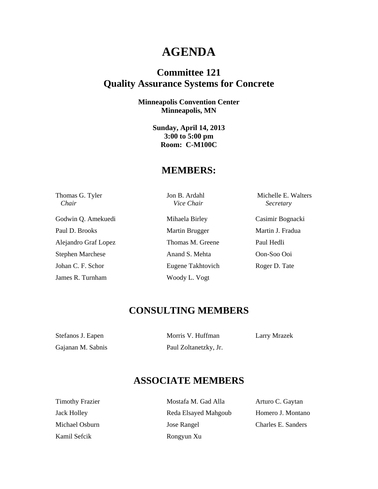## **AGENDA**

### **Committee 121 Quality Assurance Systems for Concrete**

**Minneapolis Convention Center Minneapolis, MN** 

> **Sunday, April 14, 2013 3:00 to 5:00 pm Room: C-M100C**

#### **MEMBERS:**

 *Chair Vice Chair Secretary* 

Godwin Q. Amekuedi Mihaela Birley Casimir Bognacki Paul D. Brooks Martin Brugger Martin J. Fradua Alejandro Graf Lopez Thomas M. Greene Paul Hedli Stephen Marchese Anand S. Mehta Oon-Soo Ooi Johan C. F. Schor Eugene Takhtovich Roger D. Tate James R. Turnham Woody L. Vogt

Thomas G. Tyler Jon B. Ardahl Michelle E. Walters

### **CONSULTING MEMBERS**

Stefanos J. Eapen Morris V. Huffman Larry Mrazek Gajanan M. Sabnis Paul Zoltanetzky, Jr.

### **ASSOCIATE MEMBERS**

Timothy Frazier Mostafa M. Gad Alla Arturo C. Gaytan Kamil Sefcik Rongyun Xu

Jack Holley **Reda Elsayed Mahgoub** Homero J. Montano Michael Osburn Jose Rangel Charles E. Sanders